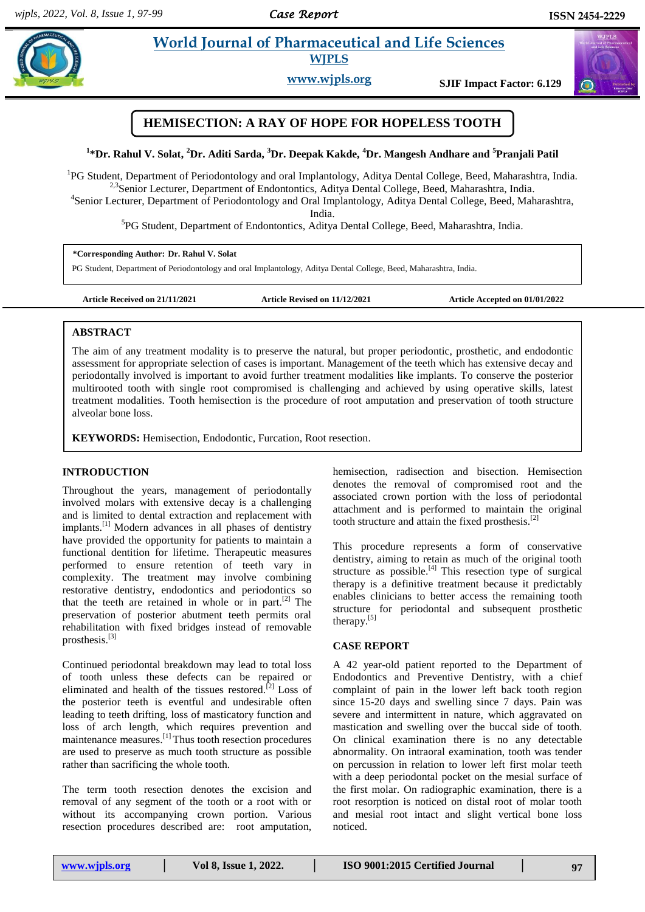# **Paramul** *Pharmaceutical and Life Sciences* **<b>Pharmaceutical and Life Sciences**



**www.wjpls.org SJIF Impact Factor: 6.129**



**1 \*Dr. Rahul V. Solat, <sup>2</sup>Dr. Aditi Sarda, <sup>3</sup>Dr. Deepak Kakde, <sup>4</sup>Dr. Mangesh Andhare and <sup>5</sup>Pranjali Patil**

<sup>1</sup>PG Student, Department of Periodontology and oral Implantology, Aditya Dental College, Beed, Maharashtra, India. <sup>2,3</sup>Senior Lecturer, Department of Endontontics, Aditya Dental College, Beed, Maharashtra, India.

4 Senior Lecturer, Department of Periodontology and Oral Implantology, Aditya Dental College, Beed, Maharashtra, India.

5 PG Student, Department of Endontontics, Aditya Dental College, Beed, Maharashtra, India.

#### **\*Corresponding Author: Dr. Rahul V. Solat**

PG Student, Department of Periodontology and oral Implantology, Aditya Dental College, Beed, Maharashtra, India.

**Article Received on 21/11/2021 Article Revised on 11/12/2021 Article Accepted on 01/01/2022**

#### **ABSTRACT**

The aim of any treatment modality is to preserve the natural, but proper periodontic, prosthetic, and endodontic assessment for appropriate selection of cases is important. Management of the teeth which has extensive decay and periodontally involved is important to avoid further treatment modalities like implants. To conserve the posterior multirooted tooth with single root compromised is challenging and achieved by using operative skills, latest treatment modalities. Tooth hemisection is the procedure of root amputation and preservation of tooth structure alveolar bone loss.

**KEYWORDS:** Hemisection, Endodontic, Furcation, Root resection.

### **INTRODUCTION**

Throughout the years, management of periodontally involved molars with extensive decay is a challenging and is limited to dental extraction and replacement with implants.[1] Modern advances in all phases of dentistry have provided the opportunity for patients to maintain a functional dentition for lifetime. Therapeutic measures performed to ensure retention of teeth vary in complexity. The treatment may involve combining restorative dentistry, endodontics and periodontics so that the teeth are retained in whole or in part.<sup>[2]</sup> The preservation of posterior abutment teeth permits oral rehabilitation with fixed bridges instead of removable prosthesis.[3]

Continued periodontal breakdown may lead to total loss of tooth unless these defects can be repaired or eliminated and health of the tissues restored.<sup>[2]</sup> Loss of the posterior teeth is eventful and undesirable often leading to teeth drifting, loss of masticatory function and loss of arch length, which requires prevention and maintenance measures.[1] Thus tooth resection procedures are used to preserve as much tooth structure as possible rather than sacrificing the whole tooth.

The term tooth resection denotes the excision and removal of any segment of the tooth or a root with or without its accompanying crown portion. Various resection procedures described are: root amputation, hemisection, radisection and bisection. Hemisection denotes the removal of compromised root and the associated crown portion with the loss of periodontal attachment and is performed to maintain the original tooth structure and attain the fixed prosthesis.[2]

This procedure represents a form of conservative dentistry, aiming to retain as much of the original tooth structure as possible.<sup>[4]</sup> This resection type of surgical therapy is a definitive treatment because it predictably enables clinicians to better access the remaining tooth structure for periodontal and subsequent prosthetic therapy.<sup>[5]</sup>

### **CASE REPORT**

A 42 year-old patient reported to the Department of Endodontics and Preventive Dentistry, with a chief complaint of pain in the lower left back tooth region since 15-20 days and swelling since 7 days. Pain was severe and intermittent in nature, which aggravated on mastication and swelling over the buccal side of tooth. On clinical examination there is no any detectable abnormality. On intraoral examination, tooth was tender on percussion in relation to lower left first molar teeth with a deep periodontal pocket on the mesial surface of the first molar. On radiographic examination, there is a root resorption is noticed on distal root of molar tooth and mesial root intact and slight vertical bone loss noticed.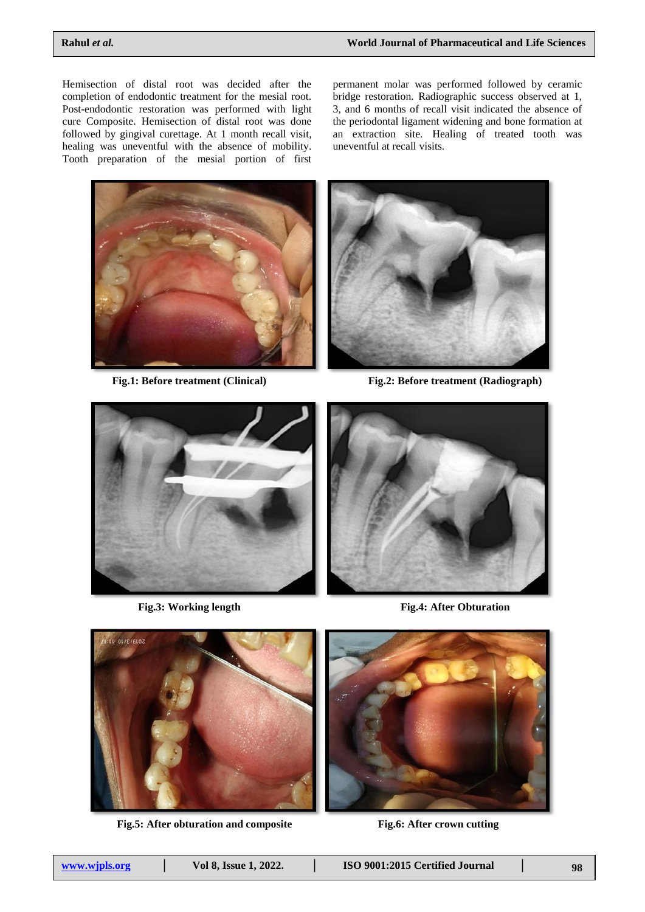Hemisection of distal root was decided after the completion of endodontic treatment for the mesial root. Post-endodontic restoration was performed with light cure Composite. Hemisection of distal root was done followed by gingival curettage. At 1 month recall visit, healing was uneventful with the absence of mobility. Tooth preparation of the mesial portion of first

permanent molar was performed followed by ceramic bridge restoration. Radiographic success observed at 1, 3, and 6 months of recall visit indicated the absence of the periodontal ligament widening and bone formation at an extraction site. Healing of treated tooth was uneventful at recall visits.





**Fig.1: Before treatment (Clinical) Fig.2: Before treatment (Radiograph)**



**Fig.3: Working length Fig.4: After Obturation**





**Fig.5: After obturation and composite Fig.6: After crown cutting**

| www.wipls.org | Vol 8, Issue 1, 2022. | ISO 9001:2015 Certified Journal |  |  |
|---------------|-----------------------|---------------------------------|--|--|
|---------------|-----------------------|---------------------------------|--|--|